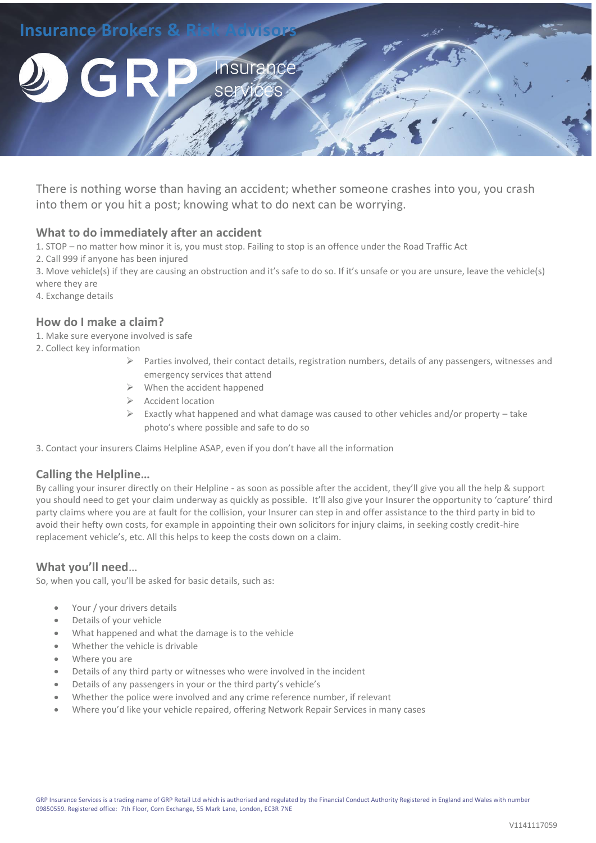

There is nothing worse than having an accident; whether someone crashes into you, you crash into them or you hit a post; knowing what to do next can be worrying.

## **What to do immediately after an accident**

1. STOP – no matter how minor it is, you must stop. Failing to stop is an offence under the Road Traffic Act

2. Call 999 if anyone has been injured

3. Move vehicle(s) if they are causing an obstruction and it's safe to do so. If it's unsafe or you are unsure, leave the vehicle(s) where they are

4. Exchange details

## **How do I make a claim?**

- 1. Make sure everyone involved is safe
- 2. Collect key information
	- $\triangleright$  Parties involved, their contact details, registration numbers, details of any passengers, witnesses and emergency services that attend
	- $\triangleright$  When the accident happened
	- $\triangleright$  Accident location
	- $\triangleright$  Exactly what happened and what damage was caused to other vehicles and/or property take photo's where possible and safe to do so

3. Contact your insurers Claims Helpline ASAP, even if you don't have all the information

## **Calling the Helpline…**

By calling your insurer directly on their Helpline - as soon as possible after the accident, they'll give you all the help & support you should need to get your claim underway as quickly as possible. It'll also give your Insurer the opportunity to 'capture' third party claims where you are at fault for the collision, your Insurer can step in and offer assistance to the third party in bid to avoid their hefty own costs, for example in appointing their own solicitors for injury claims, in seeking costly credit-hire replacement vehicle's, etc. All this helps to keep the costs down on a claim.

## **What you'll need**…

So, when you call, you'll be asked for basic details, such as:

- Your / your drivers details
- Details of your vehicle
- What happened and what the damage is to the vehicle
- Whether the vehicle is drivable
- Where you are
- Details of any third party or witnesses who were involved in the incident
- Details of any passengers in your or the third party's vehicle's
- Whether the police were involved and any crime reference number, if relevant
- Where you'd like your vehicle repaired, offering Network Repair Services in many cases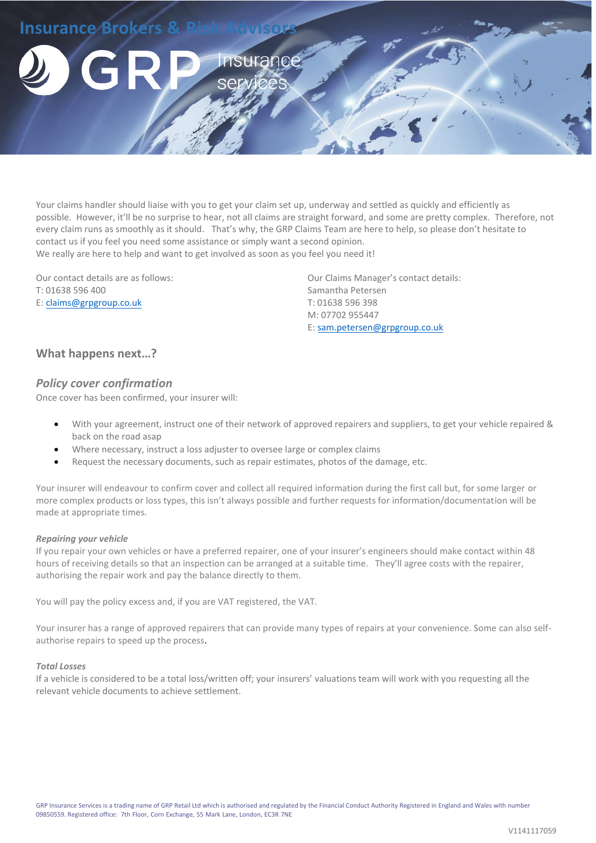

Your claims handler should liaise with you to get your claim set up, underway and settled as quickly and efficiently as possible. However, it'll be no surprise to hear, not all claims are straight forward, and some are pretty complex. Therefore, not every claim runs as smoothly as it should. That's why, the GRP Claims Team are here to help, so please don't hesitate to contact us if you feel you need some assistance or simply want a second opinion. We really are here to help and want to get involved as soon as you feel you need it!

Our contact details are as follows: T: 01638 596 400 E: [claims@grpgroup.co.uk](mailto:claims@grpgroup.co.uk) 

Our Claims Manager's contact details: Samantha Petersen T: 01638 596 398 M: 07702 955447 E: [sam.petersen@grpgroup.co.uk](mailto:sam.petersen@grpgroup.co.uk)

# **What happens next…?**

## *Policy cover confirmation*

Once cover has been confirmed, your insurer will:

- With your agreement, instruct one of their network of approved repairers and suppliers, to get your vehicle repaired & back on the road asap
- Where necessary, instruct a loss adjuster to oversee large or complex claims
- Request the necessary documents, such as repair estimates, photos of the damage, etc.

Your insurer will endeavour to confirm cover and collect all required information during the first call but, for some larger or more complex products or loss types, this isn't always possible and further requests for information/documentation will be made at appropriate times.

### *Repairing your vehicle*

If you repair your own vehicles or have a preferred repairer, one of your insurer's engineers should make contact within 48 hours of receiving details so that an inspection can be arranged at a suitable time. They'll agree costs with the repairer, authorising the repair work and pay the balance directly to them.

You will pay the policy excess and, if you are VAT registered, the VAT.

Your insurer has a range of approved repairers that can provide many types of repairs at your convenience. Some can also selfauthorise repairs to speed up the process.

### *Total Losses*

If a vehicle is considered to be a total loss/written off; your insurers' valuations team will work with you requesting all the relevant vehicle documents to achieve settlement.